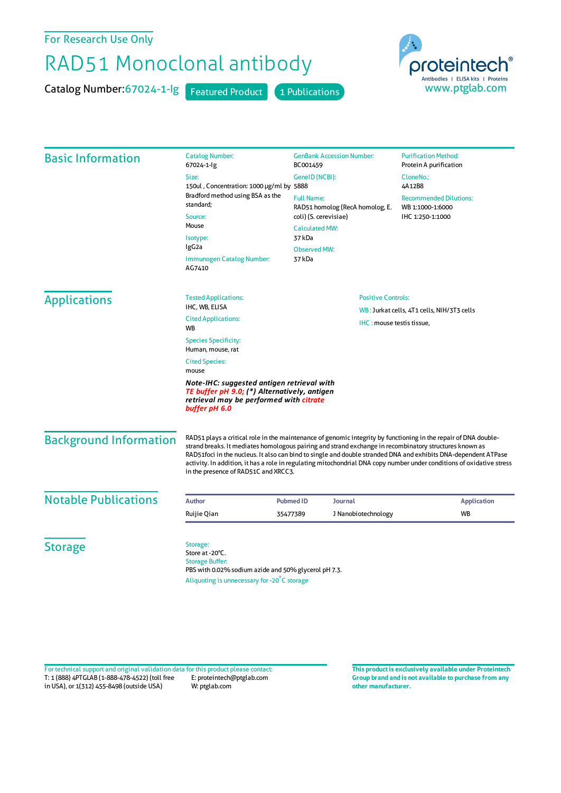For Research Use Only

## RAD51 Monoclonal antibody

Catalog Number: 67024-1-lg Featured Product 1 Publications



| <b>Basic Information</b>                                                                                                                               | <b>Catalog Number:</b>                                                                                                                                                                                                                                                                                                                                                                                                                                                                                       | <b>GenBank Accession Number:</b><br>BC001459<br>GenelD (NCBI):                                         |                             | <b>Purification Method:</b><br>Protein A purification<br>CloneNo.:<br>4A12B8 |                                            |                               |  |  |  |
|--------------------------------------------------------------------------------------------------------------------------------------------------------|--------------------------------------------------------------------------------------------------------------------------------------------------------------------------------------------------------------------------------------------------------------------------------------------------------------------------------------------------------------------------------------------------------------------------------------------------------------------------------------------------------------|--------------------------------------------------------------------------------------------------------|-----------------------------|------------------------------------------------------------------------------|--------------------------------------------|-------------------------------|--|--|--|
|                                                                                                                                                        | 67024-1-lg<br>Size:                                                                                                                                                                                                                                                                                                                                                                                                                                                                                          |                                                                                                        |                             |                                                                              |                                            |                               |  |  |  |
|                                                                                                                                                        | 150ul, Concentration: 1000 µg/ml by 5888<br>Bradford method using BSA as the<br>standard;<br>Source:<br>Mouse<br>Isotype:<br>IgG2a                                                                                                                                                                                                                                                                                                                                                                           |                                                                                                        |                             |                                                                              |                                            |                               |  |  |  |
|                                                                                                                                                        |                                                                                                                                                                                                                                                                                                                                                                                                                                                                                                              | <b>Full Name:</b><br>RAD51 homolog (RecA homolog, E.<br>coli) (S. cerevisiae)<br><b>Calculated MW:</b> |                             | <b>Recommended Dilutions:</b><br>WB 1:1000-1:6000<br>IHC 1:250-1:1000        |                                            |                               |  |  |  |
|                                                                                                                                                        |                                                                                                                                                                                                                                                                                                                                                                                                                                                                                                              |                                                                                                        |                             |                                                                              |                                            | 37 kDa                        |  |  |  |
|                                                                                                                                                        |                                                                                                                                                                                                                                                                                                                                                                                                                                                                                                              |                                                                                                        |                             |                                                                              |                                            | <b>Observed MW:</b><br>37 kDa |  |  |  |
|                                                                                                                                                        |                                                                                                                                                                                                                                                                                                                                                                                                                                                                                                              | Immunogen Catalog Number:<br>AG7410                                                                    |                             |                                                                              |                                            |                               |  |  |  |
|                                                                                                                                                        |                                                                                                                                                                                                                                                                                                                                                                                                                                                                                                              | <b>Applications</b>                                                                                    | <b>Tested Applications:</b> | <b>Positive Controls:</b>                                                    |                                            |                               |  |  |  |
|                                                                                                                                                        | IHC, WB, ELISA                                                                                                                                                                                                                                                                                                                                                                                                                                                                                               |                                                                                                        |                             |                                                                              | WB: Jurkat cells, 4T1 cells, NIH/3T3 cells |                               |  |  |  |
| <b>Cited Applications:</b><br>WB                                                                                                                       | IHC: mouse testis tissue,                                                                                                                                                                                                                                                                                                                                                                                                                                                                                    |                                                                                                        |                             |                                                                              |                                            |                               |  |  |  |
| <b>Species Specificity:</b><br>Human, mouse, rat                                                                                                       |                                                                                                                                                                                                                                                                                                                                                                                                                                                                                                              |                                                                                                        |                             |                                                                              |                                            |                               |  |  |  |
| <b>Cited Species:</b><br>mouse                                                                                                                         |                                                                                                                                                                                                                                                                                                                                                                                                                                                                                                              |                                                                                                        |                             |                                                                              |                                            |                               |  |  |  |
| Note-IHC: suggested antigen retrieval with<br>TE buffer pH 9.0; (*) Alternatively, antigen<br>retrieval may be performed with citrate<br>buffer pH 6.0 |                                                                                                                                                                                                                                                                                                                                                                                                                                                                                                              |                                                                                                        |                             |                                                                              |                                            |                               |  |  |  |
| <b>Background Information</b>                                                                                                                          | RAD51 plays a critical role in the maintenance of genomic integrity by functioning in the repair of DNA double-<br>strand breaks. It mediates homologous pairing and strand exchange in recombinatory structures known as<br>RAD51foci in the nucleus. It also can bind to single and double stranded DNA and exhibits DNA-dependent ATPase<br>activity. In addition, it has a role in regulating mitochondrial DNA copy number under conditions of oxidative stress<br>in the presence of RAD51C and XRCC3. |                                                                                                        |                             |                                                                              |                                            |                               |  |  |  |
| <b>Notable Publications</b>                                                                                                                            | <b>Author</b>                                                                                                                                                                                                                                                                                                                                                                                                                                                                                                | Journal<br><b>Pubmed ID</b>                                                                            |                             |                                                                              | <b>Application</b>                         |                               |  |  |  |
|                                                                                                                                                        | Ruijie Qian                                                                                                                                                                                                                                                                                                                                                                                                                                                                                                  | 35477389                                                                                               | J Nanobiotechnology         |                                                                              | <b>WB</b>                                  |                               |  |  |  |
| <b>Storage</b>                                                                                                                                         | Storage:<br>Store at -20°C.<br><b>Storage Buffer:</b><br>PBS with 0.02% sodium azide and 50% glycerol pH 7.3.<br>Aliquoting is unnecessary for -20°C storage                                                                                                                                                                                                                                                                                                                                                 |                                                                                                        |                             |                                                                              |                                            |                               |  |  |  |

T: 1 (888) 4PTGLAB (1-888-478-4522) (toll free in USA), or 1(312) 455-8498 (outside USA) E: proteintech@ptglab.com W: ptglab.com Fortechnical support and original validation data forthis product please contact: **This productis exclusively available under Proteintech**

**Group brand and is not available to purchase from any other manufacturer.**